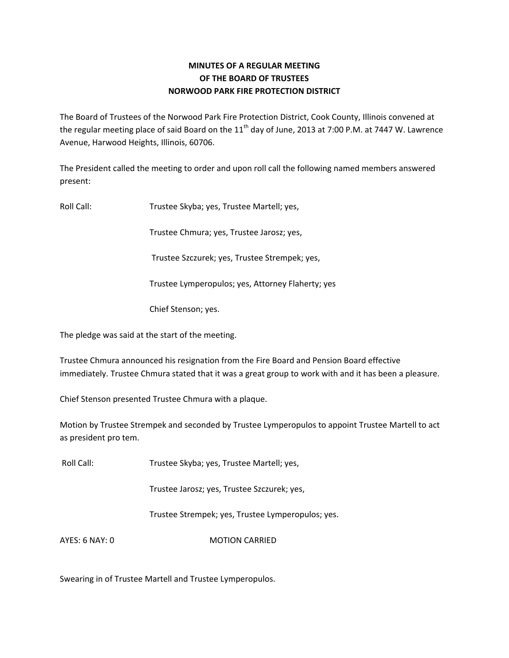# **MINUTES OF A REGULAR MEETING OF THE BOARD OF TRUSTEES NORWOOD PARK FIRE PROTECTION DISTRICT**

The Board of Trustees of the Norwood Park Fire Protection District, Cook County, Illinois convened at the regular meeting place of said Board on the  $11<sup>th</sup>$  day of June, 2013 at 7:00 P.M. at 7447 W. Lawrence Avenue, Harwood Heights, Illinois, 60706.

The President called the meeting to order and upon roll call the following named members answered present:

Roll Call: Trustee Skyba; yes, Trustee Martell; yes,

Trustee Chmura; yes, Trustee Jarosz; yes,

Trustee Szczurek; yes, Trustee Strempek; yes,

Trustee Lymperopulos; yes, Attorney Flaherty; yes

Chief Stenson; yes.

The pledge was said at the start of the meeting.

Trustee Chmura announced his resignation from the Fire Board and Pension Board effective immediately. Trustee Chmura stated that it was a great group to work with and it has been a pleasure.

Chief Stenson presented Trustee Chmura with a plaque.

Motion by Trustee Strempek and seconded by Trustee Lymperopulos to appoint Trustee Martell to act as president pro tem.

Roll Call: Trustee Skyba; yes, Trustee Martell; yes,

Trustee Jarosz; yes, Trustee Szczurek; yes,

Trustee Strempek; yes, Trustee Lymperopulos; yes.

AYES: 6 NAY: 0 MOTION CARRIED

Swearing in of Trustee Martell and Trustee Lymperopulos.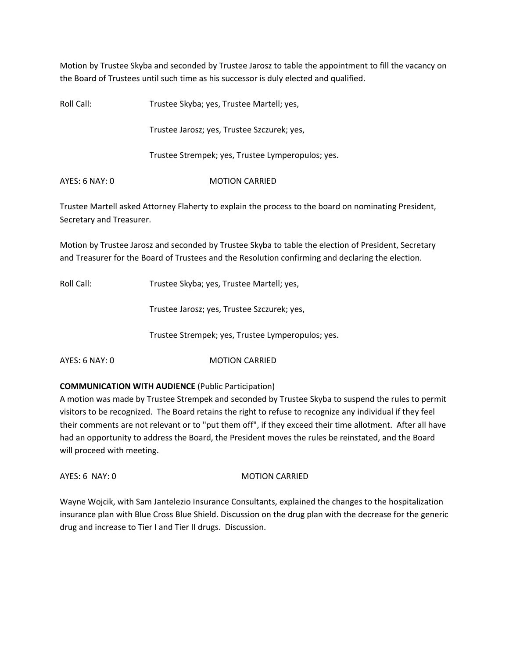Motion by Trustee Skyba and seconded by Trustee Jarosz to table the appointment to fill the vacancy on the Board of Trustees until such time as his successor is duly elected and qualified.

Roll Call: Trustee Skyba; yes, Trustee Martell; yes,

Trustee Jarosz; yes, Trustee Szczurek; yes,

Trustee Strempek; yes, Trustee Lymperopulos; yes.

AYES: 6 NAY: 0 MOTION CARRIED

Trustee Martell asked Attorney Flaherty to explain the process to the board on nominating President, Secretary and Treasurer.

Motion by Trustee Jarosz and seconded by Trustee Skyba to table the election of President, Secretary and Treasurer for the Board of Trustees and the Resolution confirming and declaring the election.

Roll Call: Trustee Skyba; yes, Trustee Martell; yes,

Trustee Jarosz; yes, Trustee Szczurek; yes,

Trustee Strempek; yes, Trustee Lymperopulos; yes.

AYES: 6 NAY: 0 MOTION CARRIED

## **COMMUNICATION WITH AUDIENCE** (Public Participation)

A motion was made by Trustee Strempek and seconded by Trustee Skyba to suspend the rules to permit visitors to be recognized. The Board retains the right to refuse to recognize any individual if they feel their comments are not relevant or to "put them off", if they exceed their time allotment. After all have had an opportunity to address the Board, the President moves the rules be reinstated, and the Board will proceed with meeting.

AYES: 6 NAY: 0 MOTION CARRIED

Wayne Wojcik, with Sam Jantelezio Insurance Consultants, explained the changes to the hospitalization insurance plan with Blue Cross Blue Shield. Discussion on the drug plan with the decrease for the generic drug and increase to Tier I and Tier II drugs. Discussion.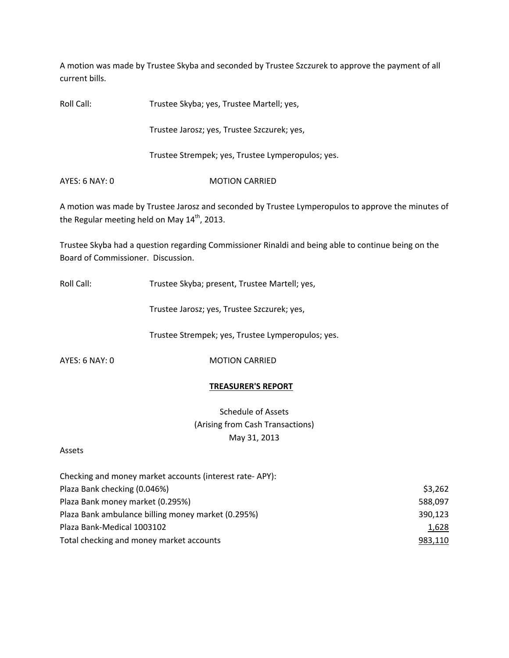A motion was made by Trustee Skyba and seconded by Trustee Szczurek to approve the payment of all current bills.

Roll Call: Trustee Skyba; yes, Trustee Martell; yes,

Trustee Jarosz; yes, Trustee Szczurek; yes,

Trustee Strempek; yes, Trustee Lymperopulos; yes.

AYES: 6 NAY: 0 MOTION CARRIED

A motion was made by Trustee Jarosz and seconded by Trustee Lymperopulos to approve the minutes of the Regular meeting held on May 14<sup>th</sup>, 2013.

Trustee Skyba had a question regarding Commissioner Rinaldi and being able to continue being on the Board of Commissioner. Discussion.

Roll Call: Trustee Skyba; present, Trustee Martell; yes,

Trustee Jarosz; yes, Trustee Szczurek; yes,

Trustee Strempek; yes, Trustee Lymperopulos; yes.

AYES: 6 NAY: 0 MOTION CARRIED

## **TREASURER'S REPORT**

Schedule of Assets (Arising from Cash Transactions) May 31, 2013

#### Assets

| Checking and money market accounts (interest rate-APY): |         |
|---------------------------------------------------------|---------|
| Plaza Bank checking (0.046%)                            | \$3,262 |
| Plaza Bank money market (0.295%)                        | 588,097 |
| Plaza Bank ambulance billing money market (0.295%)      | 390,123 |
| Plaza Bank-Medical 1003102                              | 1,628   |
| Total checking and money market accounts                | 983,110 |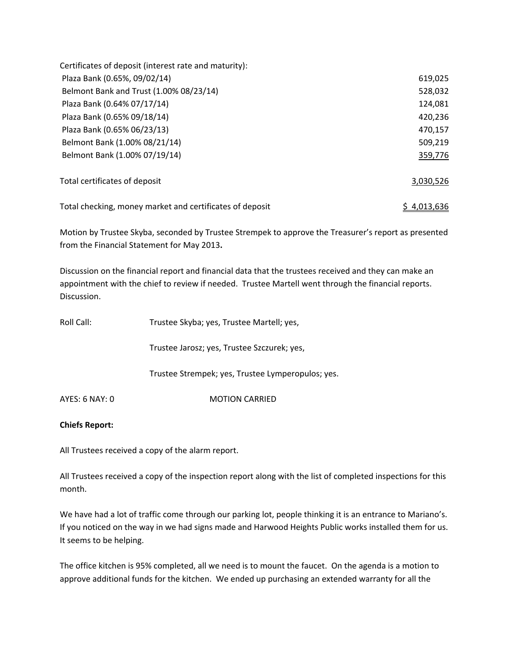| Certificates of deposit (interest rate and maturity):    |             |
|----------------------------------------------------------|-------------|
| Plaza Bank (0.65%, 09/02/14)                             | 619,025     |
| Belmont Bank and Trust (1.00% 08/23/14)                  | 528,032     |
| Plaza Bank (0.64% 07/17/14)                              | 124,081     |
| Plaza Bank (0.65% 09/18/14)                              | 420,236     |
| Plaza Bank (0.65% 06/23/13)                              | 470,157     |
| Belmont Bank (1.00% 08/21/14)                            | 509,219     |
| Belmont Bank (1.00% 07/19/14)                            | 359,776     |
| Total certificates of deposit                            | 3,030,526   |
| Total checking, money market and certificates of deposit | \$4.013.636 |

Motion by Trustee Skyba, seconded by Trustee Strempek to approve the Treasurer's report as presented from the Financial Statement for May 2013**.**

Discussion on the financial report and financial data that the trustees received and they can make an appointment with the chief to review if needed. Trustee Martell went through the financial reports. Discussion.

| Roll Call:     | Trustee Skyba; yes, Trustee Martell; yes,         |
|----------------|---------------------------------------------------|
|                | Trustee Jarosz; yes, Trustee Szczurek; yes,       |
|                | Trustee Strempek; yes, Trustee Lymperopulos; yes. |
| AYES: 6 NAY: 0 | <b>MOTION CARRIED</b>                             |

## **Chiefs Report:**

All Trustees received a copy of the alarm report.

All Trustees received a copy of the inspection report along with the list of completed inspections for this month.

We have had a lot of traffic come through our parking lot, people thinking it is an entrance to Mariano's. If you noticed on the way in we had signs made and Harwood Heights Public works installed them for us. It seems to be helping.

The office kitchen is 95% completed, all we need is to mount the faucet. On the agenda is a motion to approve additional funds for the kitchen. We ended up purchasing an extended warranty for all the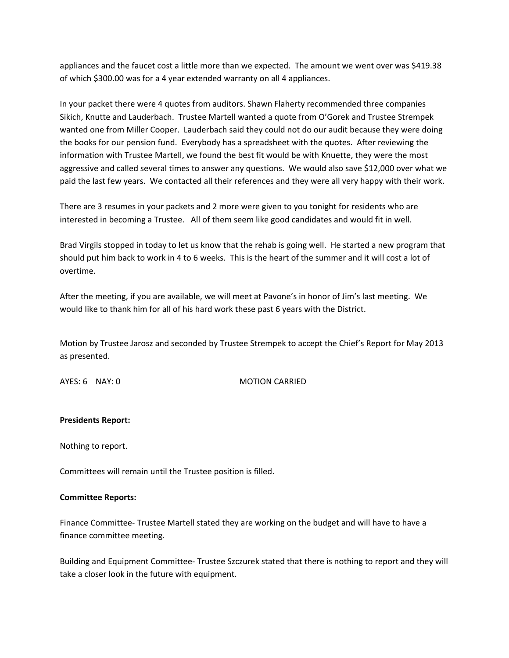appliances and the faucet cost a little more than we expected. The amount we went over was \$419.38 of which \$300.00 was for a 4 year extended warranty on all 4 appliances.

In your packet there were 4 quotes from auditors. Shawn Flaherty recommended three companies Sikich, Knutte and Lauderbach. Trustee Martell wanted a quote from O'Gorek and Trustee Strempek wanted one from Miller Cooper. Lauderbach said they could not do our audit because they were doing the books for our pension fund. Everybody has a spreadsheet with the quotes. After reviewing the information with Trustee Martell, we found the best fit would be with Knuette, they were the most aggressive and called several times to answer any questions. We would also save \$12,000 over what we paid the last few years. We contacted all their references and they were all very happy with their work.

There are 3 resumes in your packets and 2 more were given to you tonight for residents who are interested in becoming a Trustee. All of them seem like good candidates and would fit in well.

Brad Virgils stopped in today to let us know that the rehab is going well. He started a new program that should put him back to work in 4 to 6 weeks. This is the heart of the summer and it will cost a lot of overtime.

After the meeting, if you are available, we will meet at Pavone's in honor of Jim's last meeting. We would like to thank him for all of his hard work these past 6 years with the District.

Motion by Trustee Jarosz and seconded by Trustee Strempek to accept the Chief's Report for May 2013 as presented.

AYES: 6 NAY: 0 MOTION CARRIED

## **Presidents Report:**

Nothing to report.

Committees will remain until the Trustee position is filled.

#### **Committee Reports:**

Finance Committee‐ Trustee Martell stated they are working on the budget and will have to have a finance committee meeting.

Building and Equipment Committee‐ Trustee Szczurek stated that there is nothing to report and they will take a closer look in the future with equipment.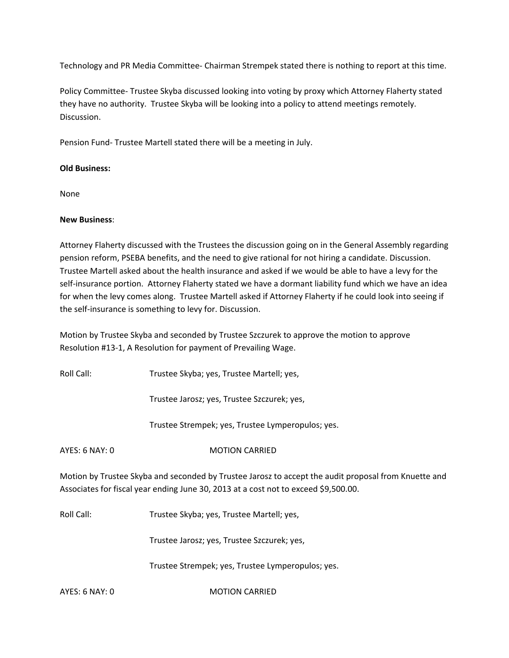Technology and PR Media Committee‐ Chairman Strempek stated there is nothing to report at this time.

Policy Committee‐ Trustee Skyba discussed looking into voting by proxy which Attorney Flaherty stated they have no authority. Trustee Skyba will be looking into a policy to attend meetings remotely. Discussion.

Pension Fund‐ Trustee Martell stated there will be a meeting in July.

## **Old Business:**

None

## **New Business**:

Attorney Flaherty discussed with the Trustees the discussion going on in the General Assembly regarding pension reform, PSEBA benefits, and the need to give rational for not hiring a candidate. Discussion. Trustee Martell asked about the health insurance and asked if we would be able to have a levy for the self-insurance portion. Attorney Flaherty stated we have a dormant liability fund which we have an idea for when the levy comes along. Trustee Martell asked if Attorney Flaherty if he could look into seeing if the self‐insurance is something to levy for. Discussion.

Motion by Trustee Skyba and seconded by Trustee Szczurek to approve the motion to approve Resolution #13‐1, A Resolution for payment of Prevailing Wage.

Roll Call: Trustee Skyba; yes, Trustee Martell; yes,

Trustee Jarosz; yes, Trustee Szczurek; yes,

Trustee Strempek; yes, Trustee Lymperopulos; yes.

AYES: 6 NAY: 0 MOTION CARRIED

Motion by Trustee Skyba and seconded by Trustee Jarosz to accept the audit proposal from Knuette and Associates for fiscal year ending June 30, 2013 at a cost not to exceed \$9,500.00.

Roll Call: Trustee Skyba; yes, Trustee Martell; yes,

Trustee Jarosz; yes, Trustee Szczurek; yes,

Trustee Strempek; yes, Trustee Lymperopulos; yes.

AYES: 6 NAY: 0 MOTION CARRIED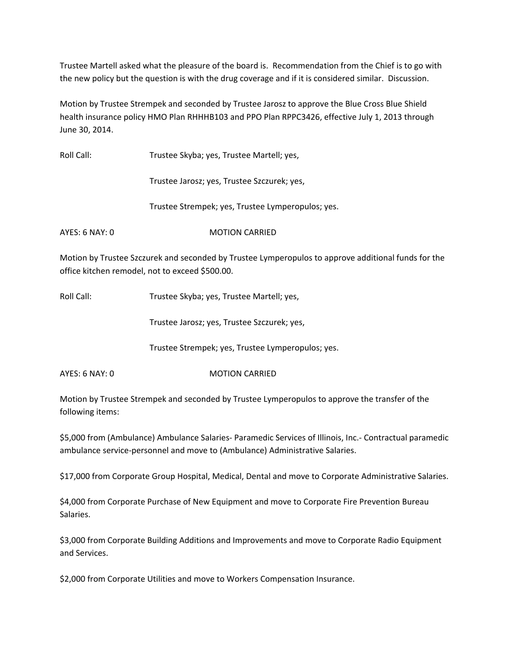Trustee Martell asked what the pleasure of the board is. Recommendation from the Chief is to go with the new policy but the question is with the drug coverage and if it is considered similar. Discussion.

Motion by Trustee Strempek and seconded by Trustee Jarosz to approve the Blue Cross Blue Shield health insurance policy HMO Plan RHHHB103 and PPO Plan RPPC3426, effective July 1, 2013 through June 30, 2014.

| Roll Call:     | Trustee Skyba; yes, Trustee Martell; yes,         |
|----------------|---------------------------------------------------|
|                | Trustee Jarosz; yes, Trustee Szczurek; yes,       |
|                | Trustee Strempek; yes, Trustee Lymperopulos; yes. |
| AYES: 6 NAY: 0 | <b>MOTION CARRIED</b>                             |
|                |                                                   |

Motion by Trustee Szczurek and seconded by Trustee Lymperopulos to approve additional funds for the office kitchen remodel, not to exceed \$500.00.

Roll Call: Trustee Skyba; yes, Trustee Martell; yes,

Trustee Jarosz; yes, Trustee Szczurek; yes,

Trustee Strempek; yes, Trustee Lymperopulos; yes.

AYES: 6 NAY: 0 MOTION CARRIED

Motion by Trustee Strempek and seconded by Trustee Lymperopulos to approve the transfer of the following items:

\$5,000 from (Ambulance) Ambulance Salaries‐ Paramedic Services of Illinois, Inc.‐ Contractual paramedic ambulance service‐personnel and move to (Ambulance) Administrative Salaries.

\$17,000 from Corporate Group Hospital, Medical, Dental and move to Corporate Administrative Salaries.

\$4,000 from Corporate Purchase of New Equipment and move to Corporate Fire Prevention Bureau Salaries.

\$3,000 from Corporate Building Additions and Improvements and move to Corporate Radio Equipment and Services.

\$2,000 from Corporate Utilities and move to Workers Compensation Insurance.